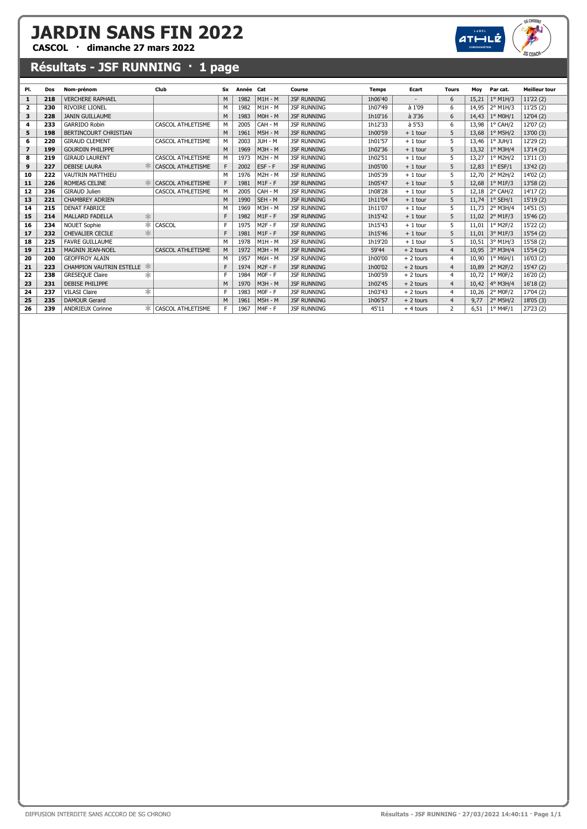CASCOL · dimanche 27 mars 2022

#### Résultats - JSF RUNNING · 1 page

| PI.            | Dos | Nom-prénom                           | Club                     | Sx | Année Cat |                | Course             | <b>Temps</b> | Ecart          | <b>Tours</b>   | Moy   | Par cat.          | <b>Meilleur tour</b> |
|----------------|-----|--------------------------------------|--------------------------|----|-----------|----------------|--------------------|--------------|----------------|----------------|-------|-------------------|----------------------|
| 1              | 218 | <b>VERCHERE RAPHAEL</b>              |                          | M  | 1982      | $M1H - M$      | <b>JSF RUNNING</b> | 1h06'40      |                | 6              | 15,21 | $1°$ M1H/3        | 11'22(2)             |
| $\overline{2}$ | 230 | <b>RIVOIRE LIONEL</b>                |                          | M  | 1982      | $M1H - M$      | <b>JSF RUNNING</b> | 1h07'49      | à 1'09         | 6              | 14,95 | 2° M1H/3          | 11'25(2)             |
| 3              | 228 | <b>JANIN GUILLAUME</b>               |                          | M  | 1983      | $MOH - M$      | <b>JSF RUNNING</b> | 1h10'16      | $\hat{a}$ 3'36 | 6              | 14,43 | $1^\circ$ MOH/1   | 12'04 (2)            |
| 4              | 233 | <b>GARRIDO Robin</b>                 | CASCOL ATHLETISME        | M  | 2005      | CAH - M        | <b>JSF RUNNING</b> | 1h12'33      | $a$ 5'53       | 6              | 13,98 | $1^{\circ}$ CAH/2 | 12'07 (2)            |
| 5              | 198 | BERTINCOURT CHRISTIAN                |                          | M  | 1961      | <b>M5H - M</b> | <b>JSF RUNNING</b> | 1h00'59      | $+1$ tour      | 5              | 13,68 | $1°$ M5H/2        | 13'00(3)             |
| 6              | 220 | <b>GIRAUD CLEMENT</b>                | <b>CASCOL ATHLETISME</b> | M  | 2003      | JUH - M        | <b>JSF RUNNING</b> | 1h01'57      | $+1$ tour      | 5              | 13,46 | $1°$ JUH/ $1$     | 12'29 (2)            |
| $\overline{ }$ | 199 | <b>GOURDIN PHILIPPE</b>              |                          | M  | 1969      | $M3H - M$      | <b>JSF RUNNING</b> | 1h02'36      | $+1$ tour      | 5              | 13,32 | 1º M3H/4          | 13'14(2)             |
| 8              | 219 | <b>GIRAUD LAURENT</b>                | CASCOL ATHLETISME        | M  | 1973      | $M2H - M$      | <b>JSF RUNNING</b> | 1h02'51      | $+1$ tour      | 5              | 13,27 | 1° M2H/2          | 13'11(3)             |
| 9              | 227 | <b>DEBISE LAURA</b>                  | <b>CASCOL ATHLETISME</b> |    | 2002      | $EST - F$      | <b>JSF RUNNING</b> | 1h05'00      | $+1$ tour      | 5              | 12,83 | $1°$ ESF/1        | 13'42 (2)            |
| 10             | 222 | VAUTRIN MATTHIEU                     |                          | M  | 1976      | $M2H - M$      | <b>JSF RUNNING</b> | 1h05'39      | $+1$ tour      | 5              | 12,70 | 2° M2H/2          | 14'02 (2)            |
| 11             | 226 | <b>ROMEAS CELINE</b>                 | <b>CASCOL ATHLETISME</b> | F  | 1981      | M1F-F          | <b>JSF RUNNING</b> | 1h05'47      | $+1$ tour      | 5              | 12,68 | $1°$ M1F/3        | 13'58(2)             |
| 12             | 236 | <b>GIRAUD Julien</b>                 | <b>CASCOL ATHLETISME</b> | M  | 2005      | CAH - M        | <b>JSF RUNNING</b> | 1h08'28      | $+1$ tour      | 5              | 12,18 | 2° CAH/2          | 14'17 (2)            |
| 13             | 221 | <b>CHAMBREY ADRIEN</b>               |                          | M  | 1990      | SEH - M        | <b>JSF RUNNING</b> | 1h11'04      | $+1$ tour      | 5              | 11,74 | $1°$ SEH/1        | 15'19 (2)            |
| 14             | 215 | <b>DENAT FABRICE</b>                 |                          | M  | 1969      | $M3H - M$      | <b>JSF RUNNING</b> | 1h11'07      | $+1$ tour      | 5              | 11,73 | 2° M3H/4          | 14'51 (5)            |
| 15             | 214 | 氺<br><b>MALLARD FADELLA</b>          |                          |    | 1982      | $M1F - F$      | <b>JSF RUNNING</b> | 1h15'42      | $+1$ tour      | 5              | 11,02 | $2^{\circ}$ M1F/3 | 15'46 (2)            |
| 16             | 234 | ∗<br><b>NOUET Sophie</b>             | <b>CASCOL</b>            | E  | 1975      | $M2F - F$      | <b>JSF RUNNING</b> | 1h15'43      | $+1$ tour      | 5              | 11,01 | 1° M2F/2          | 15'22 (2)            |
| 17             | 232 | 氺<br><b>CHEVALIER CECILE</b>         |                          |    | 1981      | $M1F - F$      | <b>JSF RUNNING</b> | 1h15'46      | $+1$ tour      | 5              | 11,01 | 3° M1F/3          | 15'54(2)             |
| 18             | 225 | <b>FAVRE GUILLAUME</b>               |                          | M  | 1978      | $M1H - M$      | <b>JSF RUNNING</b> | 1h19'20      | $+1$ tour      | 5              | 10,51 | 3° M1H/3          | 15'58(2)             |
| 19             | 213 | <b>MAGNIN JEAN-NOEL</b>              | <b>CASCOL ATHLETISME</b> | M  | 1972      | $M3H - M$      | <b>JSF RUNNING</b> | 59'44        | $+2$ tours     | $\overline{4}$ | 10,95 | 3° M3H/4          | 15'54 (2)            |
| 20             | 200 | <b>GEOFFROY ALAIN</b>                |                          | M  | 1957      | M6H - M        | <b>JSF RUNNING</b> | 1h00'00      | $+2$ tours     | 4              | 10,90 | $1°$ M6H/1        | 16'03(2)             |
| 21             | 223 | <b>CHAMPION VAUTRIN ESTELLE</b><br>氺 |                          | E  | 1974      | $M2F - F$      | <b>JSF RUNNING</b> | 1h00'02      | $+2$ tours     | $\overline{4}$ | 10,89 | 2° M2F/2          | 15'47 (2)            |
| 22             | 238 | ∗<br><b>GRESEQUE Claire</b>          |                          | E  | 1984      | $MOF - F$      | <b>JSF RUNNING</b> | 1h00'59      | $+2$ tours     | 4              | 10,72 | 1° M0F/2          | 16'20 (2)            |
| 23             | 231 | <b>DEBISE PHILIPPE</b>               |                          | M  | 1970      | $M3H - M$      | <b>JSF RUNNING</b> | 1h02'45      | $+2$ tours     | $\overline{4}$ | 10,42 | 4° M3H/4          | 16'18(2)             |
| 24             | 237 | 氺<br><b>VILASI Claire</b>            |                          | E  | 1983      | $MOF - F$      | <b>JSF RUNNING</b> | 1h03'43      | $+2$ tours     | $\overline{4}$ | 10,26 | 2° M0F/2          | 17'04 (2)            |
| 25             | 235 | <b>DAMOUR Gerard</b>                 |                          | M  | 1961      | <b>M5H - M</b> | <b>JSF RUNNING</b> | 1h06'57      | $+2$ tours     | $\overline{4}$ | 9,77  | 2° M5H/2          | 18'05(3)             |
| 26             | 239 | $\ast$<br><b>ANDRIEUX Corinne</b>    | <b>CASCOL ATHLETISME</b> | F  | 1967      | $M4F - F$      | <b>JSF RUNNING</b> | 45'11        | $+4$ tours     | 2              | 6.51  | $1°$ M4F/1        | 27'23(2)             |

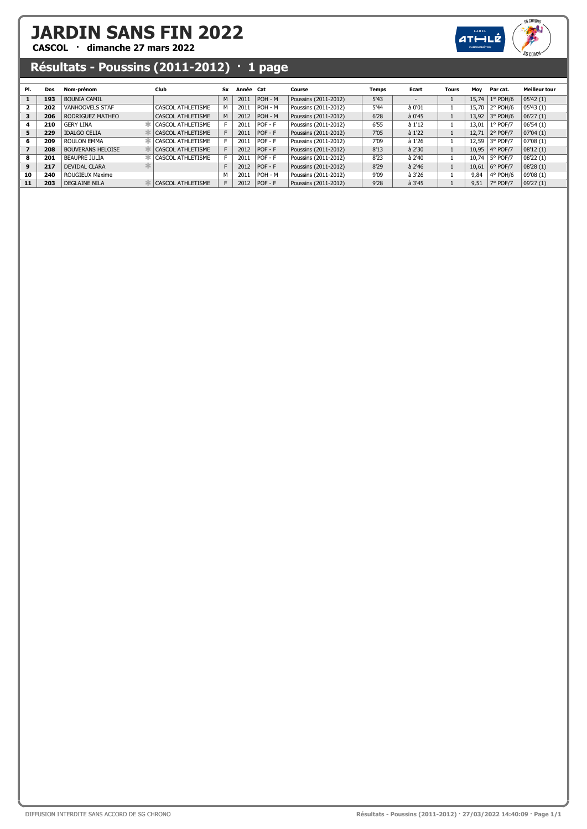CASCOL · dimanche 27 mars 2022

#### Résultats - Poussins (2011-2012) · 1 page

| PI. | Dos | Nom-prénom                | Club                     | <b>Sx</b> | Année Cat |           | Course               | Temps | Ecart          | <b>Tours</b> | Mov   | Par cat.   | <b>Meilleur tour</b> |
|-----|-----|---------------------------|--------------------------|-----------|-----------|-----------|----------------------|-------|----------------|--------------|-------|------------|----------------------|
| 1   | 193 | <b>BOUNIA CAMIL</b>       |                          | M         | 2011      | POH - M   | Poussins (2011-2012) | 5'43  |                |              | 15.74 | $1°$ POH/6 | 05'42(1)             |
|     | 202 | VANHOOVELS STAF           | CASCOL ATHLETISME        |           | 2011      | POH - M   | Poussins (2011-2012) | 5'44  | à 0'01         |              | 15.70 | $2°$ POH/6 | 05'43(1)             |
| 3   | 206 | RODRIGUEZ MATHEO          | CASCOL ATHLETISME        |           | 2012      | POH - M   | Poussins (2011-2012) | 6'28  | $a$ 0'45       |              | 13.92 | 3° POH/6   | 06'27(1)             |
| 4   | 210 | <b>GERY LINA</b><br>ale i | CASCOL ATHLETISME        |           | 2011      | POF-F     | Poussins (2011-2012) | 6'55  | à 1'12         |              | 13,01 | $1°$ POF/7 | 06'54(1)             |
| 5   | 229 | <b>IDALGO CELIA</b>       | CASCOL ATHLETISME        |           | 2011      | POF-F     | Poussins (2011-2012) | 7'05  | à 1'22         |              | 12.71 | $2°$ POF/7 | 07'04(1)             |
| 6   | 209 | <b>ROULON EMMA</b>        | CASCOL ATHLETISME        |           | 2011      | POF - F   | Poussins (2011-2012) | 7'09  | à 1'26         |              | 12.59 | 3° POF/7   | 07'08(1)             |
|     | 208 | <b>BOUVERANS HELOISE</b>  | CASCOL ATHLETISME        |           | 2012      | POF-F     | Poussins (2011-2012) | 8'13  | $a$ 2'30       |              | 10,95 | 4° POF/7   | 08'12(1)             |
| 8   | 201 | <b>BEAUPRE JULIA</b>      | CASCOL ATHLETISME        |           | 2011      | POF - F   | Poussins (2011-2012) | 8'23  | $a$ 2'40       |              | 10.74 | 5° POF/7   | 08'22(1)             |
| 9   | 217 | <b>DEVIDAL CLARA</b>      |                          |           | 2012      | $POF - F$ | Poussins (2011-2012) | 8'29  | $a$ 2'46       |              | 10,61 | $6°$ POF/7 | 08'28(1)             |
| 10  | 240 | ROUGIEUX Maxime           |                          |           | 2011      | POH - M   | Poussins (2011-2012) | 9'09  | à 3'26         |              | 9,84  | $4°$ POH/6 | 09'08(1)             |
| 11  | 203 | <b>DEGLAINE NILA</b>      | <b>CASCOL ATHLETISME</b> |           | 2012      | $POF - F$ | Poussins (2011-2012) | 9'28  | $\hat{a}$ 3'45 |              | 9,51  | 7° POF/7   | 09'27(1)             |

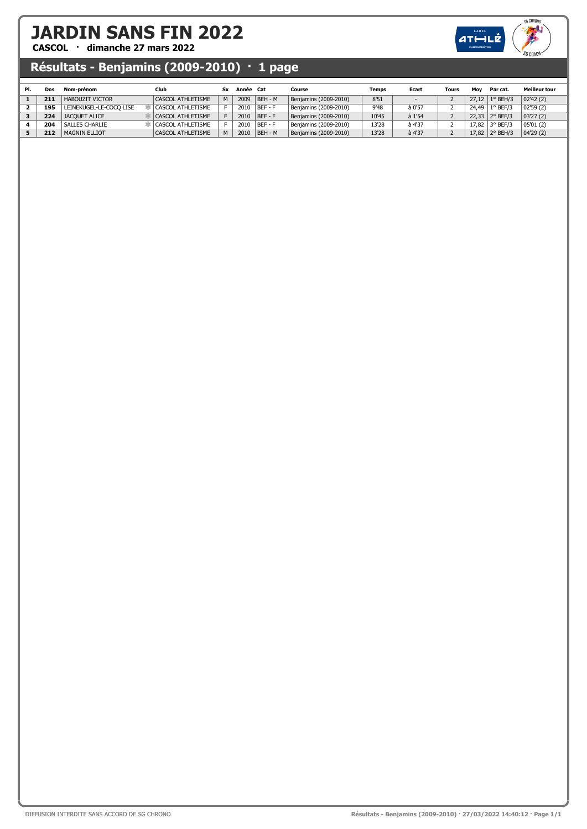CASCOL · dimanche 27 mars 2022

### er CHROA  $arHLE$

### Résultats - Benjamins (2009-2010) · 1 page

| PI. | Dos | Nom-prénom              | Club                     | Sx | Année Cat |                | Course                | Temps | Ecart  | <b>Tours</b> | Mov   | Par cat.                  | Meilleur tour |
|-----|-----|-------------------------|--------------------------|----|-----------|----------------|-----------------------|-------|--------|--------------|-------|---------------------------|---------------|
|     | 211 | <b>HABOUZIT VICTOR</b>  | CASCOL ATHLETISME        | M  | 2009      | BEH - M        | Benjamins (2009-2010) | 8'51  |        |              | 27.12 | $1°$ BEH/3                | 02'42(2)      |
|     | 195 | LEINEKUGEL-LE-COCQ LISE | CASCOL ATHLETISME        |    | 2010      | BEF-F          | Benjamins (2009-2010) | 9'48  | à 0'57 |              | 24.49 | $1°$ BEF/3                | 02'59(2)      |
|     | 224 | JACOUET ALICE           | <b>CASCOL ATHLETISME</b> |    | 2010      | $BEF - F$      | Benjamins (2009-2010) | 10'45 | à 1'54 |              | 22,33 | $2°$ BEF/3                | 03'27(2)      |
|     | 204 | SALLES CHARLIE          | CASCOL ATHLETISME        |    | 2010      | BEF-F          | Benjamins (2009-2010) | 13'28 | à 4'37 |              | 17.82 | 3° BEF/3                  | 05'01(2)      |
|     | 212 | <b>MAGNIN ELLIOT</b>    | CASCOL ATHLETISME        | M  |           | $2010$ BEH - M | Benjamins (2009-2010) | 13'28 | à 4'37 |              |       | 17,82   $2^{\circ}$ BEH/3 | 04'29(2)      |